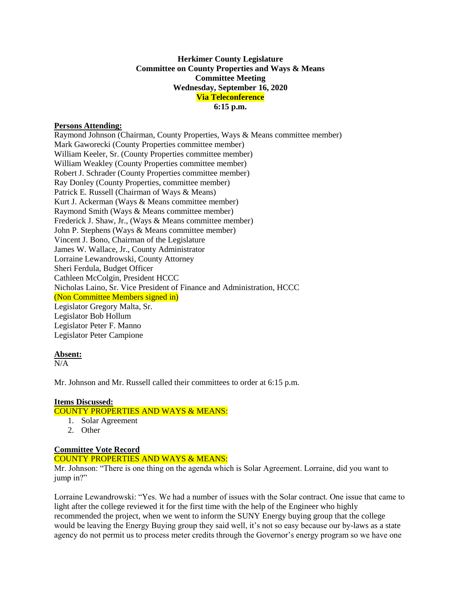# **Herkimer County Legislature Committee on County Properties and Ways & Means Committee Meeting Wednesday, September 16, 2020 Via Teleconference 6:15 p.m.**

### **Persons Attending:**

Raymond Johnson (Chairman, County Properties, Ways & Means committee member) Mark Gaworecki (County Properties committee member) William Keeler, Sr. (County Properties committee member) William Weakley (County Properties committee member) Robert J. Schrader (County Properties committee member) Ray Donley (County Properties, committee member) Patrick E. Russell (Chairman of Ways & Means) Kurt J. Ackerman (Ways & Means committee member) Raymond Smith (Ways & Means committee member) Frederick J. Shaw, Jr., (Ways & Means committee member) John P. Stephens (Ways & Means committee member) Vincent J. Bono, Chairman of the Legislature James W. Wallace, Jr., County Administrator Lorraine Lewandrowski, County Attorney Sheri Ferdula, Budget Officer Cathleen McColgin, President HCCC Nicholas Laino, Sr. Vice President of Finance and Administration, HCCC (Non Committee Members signed in) Legislator Gregory Malta, Sr. Legislator Bob Hollum Legislator Peter F. Manno Legislator Peter Campione

#### **Absent:**

 $N/A$ 

Mr. Johnson and Mr. Russell called their committees to order at 6:15 p.m.

## **Items Discussed:**

COUNTY PROPERTIES AND WAYS & MEANS:

- 1. Solar Agreement
- 2. Other

## **Committee Vote Record**

#### COUNTY PROPERTIES AND WAYS & MEANS:

Mr. Johnson: "There is one thing on the agenda which is Solar Agreement. Lorraine, did you want to jump in?"

Lorraine Lewandrowski: "Yes. We had a number of issues with the Solar contract. One issue that came to light after the college reviewed it for the first time with the help of the Engineer who highly recommended the project, when we went to inform the SUNY Energy buying group that the college would be leaving the Energy Buying group they said well, it's not so easy because our by-laws as a state agency do not permit us to process meter credits through the Governor's energy program so we have one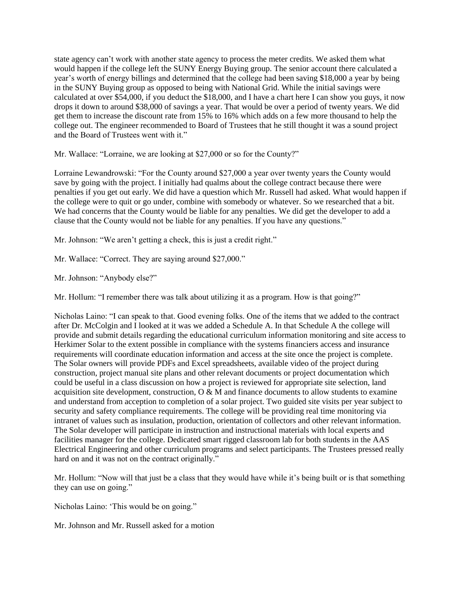state agency can't work with another state agency to process the meter credits. We asked them what would happen if the college left the SUNY Energy Buying group. The senior account there calculated a year's worth of energy billings and determined that the college had been saving \$18,000 a year by being in the SUNY Buying group as opposed to being with National Grid. While the initial savings were calculated at over \$54,000, if you deduct the \$18,000, and I have a chart here I can show you guys, it now drops it down to around \$38,000 of savings a year. That would be over a period of twenty years. We did get them to increase the discount rate from 15% to 16% which adds on a few more thousand to help the college out. The engineer recommended to Board of Trustees that he still thought it was a sound project and the Board of Trustees went with it."

Mr. Wallace: "Lorraine, we are looking at \$27,000 or so for the County?"

Lorraine Lewandrowski: "For the County around \$27,000 a year over twenty years the County would save by going with the project. I initially had qualms about the college contract because there were penalties if you get out early. We did have a question which Mr. Russell had asked. What would happen if the college were to quit or go under, combine with somebody or whatever. So we researched that a bit. We had concerns that the County would be liable for any penalties. We did get the developer to add a clause that the County would not be liable for any penalties. If you have any questions."

Mr. Johnson: "We aren't getting a check, this is just a credit right."

Mr. Wallace: "Correct. They are saying around \$27,000."

Mr. Johnson: "Anybody else?"

Mr. Hollum: "I remember there was talk about utilizing it as a program. How is that going?"

Nicholas Laino: "I can speak to that. Good evening folks. One of the items that we added to the contract after Dr. McColgin and I looked at it was we added a Schedule A. In that Schedule A the college will provide and submit details regarding the educational curriculum information monitoring and site access to Herkimer Solar to the extent possible in compliance with the systems financiers access and insurance requirements will coordinate education information and access at the site once the project is complete. The Solar owners will provide PDFs and Excel spreadsheets, available video of the project during construction, project manual site plans and other relevant documents or project documentation which could be useful in a class discussion on how a project is reviewed for appropriate site selection, land acquisition site development, construction,  $O \& M$  and finance documents to allow students to examine and understand from acception to completion of a solar project. Two guided site visits per year subject to security and safety compliance requirements. The college will be providing real time monitoring via intranet of values such as insulation, production, orientation of collectors and other relevant information. The Solar developer will participate in instruction and instructional materials with local experts and facilities manager for the college. Dedicated smart rigged classroom lab for both students in the AAS Electrical Engineering and other curriculum programs and select participants. The Trustees pressed really hard on and it was not on the contract originally."

Mr. Hollum: "Now will that just be a class that they would have while it's being built or is that something they can use on going."

Nicholas Laino: 'This would be on going."

Mr. Johnson and Mr. Russell asked for a motion